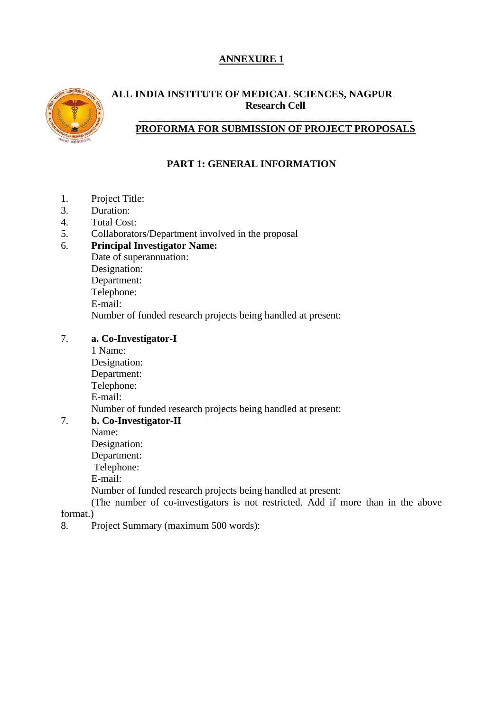# **ANNEXURE 1**



### **ALL INDIA INSTITUTE OF MEDICAL SCIENCES, NAGPUR Research Cell**

#### **\_\_\_\_\_\_\_\_\_\_\_\_\_\_\_\_\_\_\_\_\_\_\_\_\_\_\_\_\_\_\_\_\_\_\_\_\_\_\_\_\_\_\_\_\_\_\_\_\_\_\_\_\_\_ PROFORMA FOR SUBMISSION OF PROJECT PROPOSALS**

# **PART 1: GENERAL INFORMATION**

- 1. Project Title:
- 3. Duration:
- 4. Total Cost:
- 5. Collaborators/Department involved in the proposal<br>6. **Principal Investigator Name:**

#### 6. **Principal Investigator Name:**

Date of superannuation: Designation: Department: Telephone: E-mail: Number of funded research projects being handled at present:

### 7. **a. Co-Investigator-I**

1 Name: Designation: Department: Telephone: E-mail: Number of funded research projects being handled at present:

# 7. **b. Co-Investigator-II**

Name: Designation: Department: Telephone:

E-mail:

Number of funded research projects being handled at present:

(The number of co-investigators is not restricted. Add if more than in the above format.)

8. Project Summary (maximum 500 words):